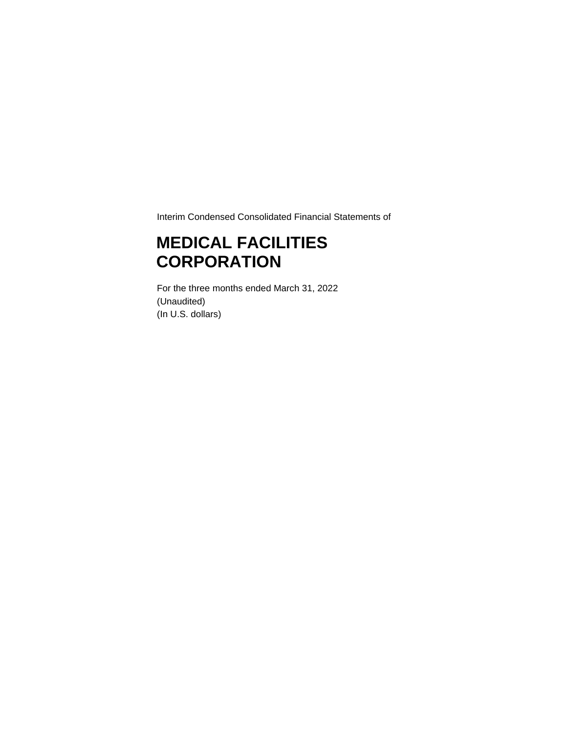Interim Condensed Consolidated Financial Statements of

## **MEDICAL FACILITIES CORPORATION**

For the three months ended March 31, 2022 (Unaudited) (In U.S. dollars)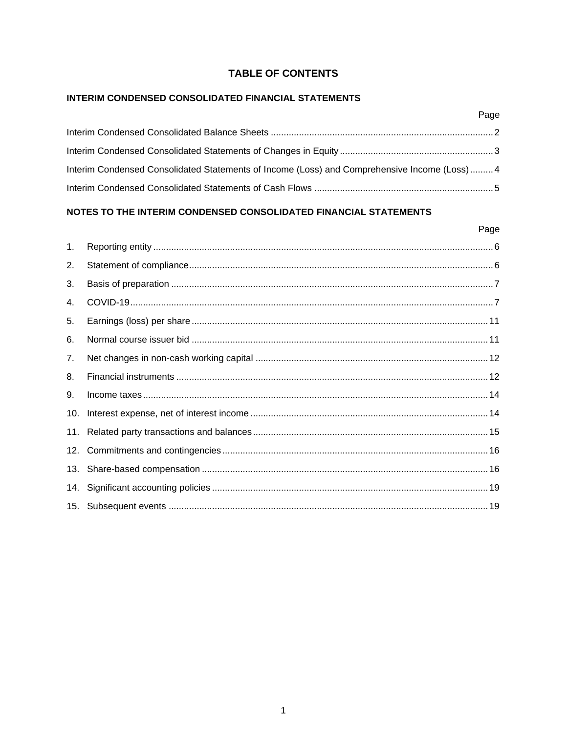## **TABLE OF CONTENTS**

## INTERIM CONDENSED CONSOLIDATED FINANCIAL STATEMENTS

| Interim Condensed Consolidated Statements of Income (Loss) and Comprehensive Income (Loss)4 |  |
|---------------------------------------------------------------------------------------------|--|
|                                                                                             |  |

## NOTES TO THE INTERIM CONDENSED CONSOLIDATED FINANCIAL STATEMENTS

#### Page

Page

| 1.  |  |
|-----|--|
| 2.  |  |
| 3.  |  |
| 4.  |  |
| 5.  |  |
| 6.  |  |
| 7.  |  |
| 8.  |  |
| 9.  |  |
| 10. |  |
|     |  |
|     |  |
|     |  |
|     |  |
|     |  |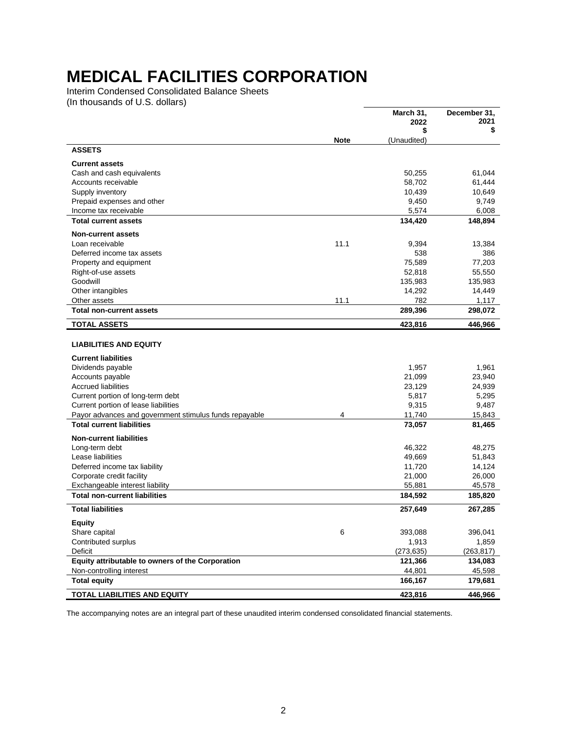<span id="page-2-0"></span>Interim Condensed Consolidated Balance Sheets (In thousands of U.S. dollars)

|                                                                                                |             | March 31,<br>2022 | December 31.<br>2021 |
|------------------------------------------------------------------------------------------------|-------------|-------------------|----------------------|
|                                                                                                | <b>Note</b> | S<br>(Unaudited)  | \$                   |
| <b>ASSETS</b>                                                                                  |             |                   |                      |
| <b>Current assets</b>                                                                          |             |                   |                      |
| Cash and cash equivalents                                                                      |             | 50,255            | 61,044               |
| Accounts receivable                                                                            |             | 58,702            | 61,444               |
| Supply inventory                                                                               |             | 10,439            | 10,649               |
| Prepaid expenses and other                                                                     |             | 9,450             | 9,749                |
| Income tax receivable                                                                          |             | 5,574             | 6,008                |
| <b>Total current assets</b>                                                                    |             | 134,420           | 148,894              |
| <b>Non-current assets</b>                                                                      |             |                   |                      |
| Loan receivable                                                                                | 11.1        | 9,394             | 13,384               |
| Deferred income tax assets                                                                     |             | 538               | 386                  |
| Property and equipment                                                                         |             | 75,589<br>52,818  | 77,203<br>55,550     |
| Right-of-use assets<br>Goodwill                                                                |             | 135,983           | 135,983              |
| Other intangibles                                                                              |             | 14,292            | 14,449               |
| Other assets                                                                                   | 11.1        | 782               | 1,117                |
| <b>Total non-current assets</b>                                                                |             | 289,396           | 298,072              |
| <b>TOTAL ASSETS</b>                                                                            |             | 423,816           | 446,966              |
|                                                                                                |             |                   |                      |
| <b>LIABILITIES AND EQUITY</b>                                                                  |             |                   |                      |
| <b>Current liabilities</b>                                                                     |             |                   |                      |
| Dividends payable                                                                              |             | 1,957             | 1,961                |
| Accounts payable                                                                               |             | 21,099            | 23,940               |
| <b>Accrued liabilities</b>                                                                     |             | 23,129            | 24,939               |
| Current portion of long-term debt                                                              |             | 5,817             | 5,295                |
| Current portion of lease liabilities<br>Payor advances and government stimulus funds repayable | 4           | 9,315<br>11,740   | 9,487<br>15,843      |
| <b>Total current liabilities</b>                                                               |             | 73,057            | 81,465               |
| <b>Non-current liabilities</b>                                                                 |             |                   |                      |
| Long-term debt                                                                                 |             | 46,322            | 48,275               |
| Lease liabilities                                                                              |             | 49,669            | 51,843               |
| Deferred income tax liability                                                                  |             | 11,720            | 14,124               |
| Corporate credit facility                                                                      |             | 21,000            | 26,000               |
| Exchangeable interest liability                                                                |             | 55,881            | 45,578               |
| <b>Total non-current liabilities</b>                                                           |             | 184,592           | 185,820              |
| <b>Total liabilities</b>                                                                       |             | 257,649           | 267,285              |
| <b>Equity</b>                                                                                  |             |                   |                      |
| Share capital                                                                                  | 6           | 393,088           | 396,041              |
| Contributed surplus                                                                            |             | 1,913             | 1,859                |
| Deficit                                                                                        |             | (273,635)         | (263, 817)           |
| Equity attributable to owners of the Corporation                                               |             | 121,366           | 134,083              |
| Non-controlling interest                                                                       |             | 44,801            | 45,598               |
| <b>Total equity</b>                                                                            |             | 166,167           | 179,681              |
| TOTAL LIABILITIES AND EQUITY                                                                   |             | 423,816           | 446,966              |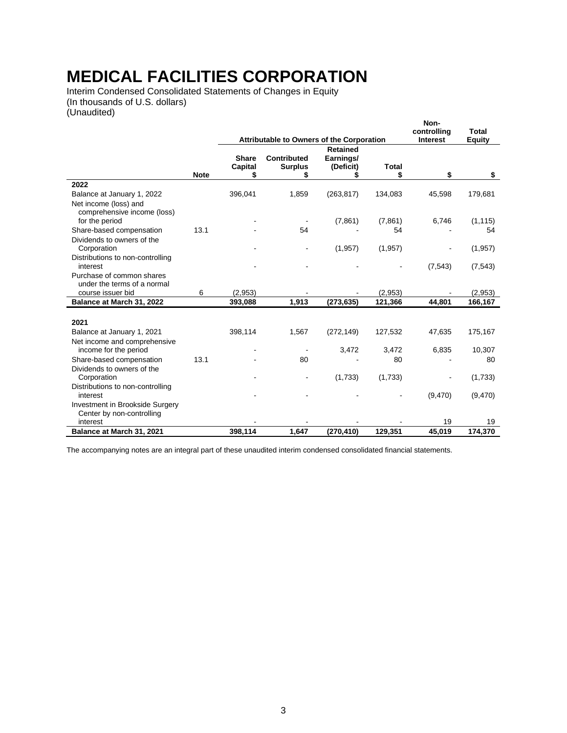<span id="page-3-0"></span>Interim Condensed Consolidated Statements of Changes in Equity (In thousands of U.S. dollars) (Unaudited)

|                                                      |             |                                           |                    |                 |              | Non-<br>controlling | Total    |
|------------------------------------------------------|-------------|-------------------------------------------|--------------------|-----------------|--------------|---------------------|----------|
|                                                      |             | Attributable to Owners of the Corporation |                    |                 |              | <b>Interest</b>     | Equity   |
|                                                      |             |                                           |                    | <b>Retained</b> |              |                     |          |
|                                                      |             | <b>Share</b>                              | <b>Contributed</b> | Earnings/       |              |                     |          |
|                                                      | <b>Note</b> | Capital                                   | <b>Surplus</b>     | (Deficit)       | <b>Total</b> | \$                  |          |
| 2022                                                 |             | \$                                        | \$                 |                 | \$           |                     | \$       |
|                                                      |             |                                           |                    |                 |              |                     |          |
| Balance at January 1, 2022                           |             | 396,041                                   | 1,859              | (263, 817)      | 134,083      | 45,598              | 179,681  |
| Net income (loss) and<br>comprehensive income (loss) |             |                                           |                    |                 |              |                     |          |
| for the period                                       |             |                                           | $\blacksquare$     | (7,861)         | (7, 861)     | 6,746               | (1, 115) |
| Share-based compensation                             | 13.1        |                                           | 54                 |                 | 54           |                     | 54       |
| Dividends to owners of the                           |             |                                           |                    |                 |              |                     |          |
| Corporation                                          |             |                                           |                    | (1, 957)        | (1, 957)     |                     | (1,957)  |
| Distributions to non-controlling<br>interest         |             |                                           |                    |                 |              | (7, 543)            | (7, 543) |
| Purchase of common shares                            |             |                                           |                    |                 |              |                     |          |
| under the terms of a normal                          |             |                                           |                    |                 |              |                     |          |
| course issuer bid                                    | 6           | (2,953)                                   |                    |                 | (2,953)      |                     | (2,953)  |
| Balance at March 31, 2022                            |             | 393,088                                   | 1,913              | (273, 635)      | 121,366      | 44,801              | 166,167  |
|                                                      |             |                                           |                    |                 |              |                     |          |
| 2021                                                 |             |                                           |                    |                 |              |                     |          |
| Balance at January 1, 2021                           |             | 398,114                                   | 1,567              | (272, 149)      | 127,532      | 47,635              | 175,167  |
| Net income and comprehensive                         |             |                                           |                    |                 |              |                     |          |
| income for the period                                |             |                                           |                    | 3,472           | 3,472        | 6,835               | 10,307   |
| Share-based compensation                             | 13.1        |                                           | 80                 |                 | 80           |                     | 80       |
| Dividends to owners of the                           |             |                                           |                    |                 |              |                     |          |
| Corporation                                          |             |                                           |                    | (1,733)         | (1,733)      |                     | (1,733)  |
| Distributions to non-controlling                     |             |                                           |                    |                 |              |                     |          |
| interest                                             |             |                                           |                    |                 |              | (9,470)             | (9,470)  |
| Investment in Brookside Surgery                      |             |                                           |                    |                 |              |                     |          |
| Center by non-controlling                            |             |                                           |                    |                 |              |                     |          |
| interest                                             |             |                                           |                    |                 |              | 19                  | 19       |
| Balance at March 31, 2021                            |             | 398.114                                   | 1.647              | (270, 410)      | 129,351      | 45.019              | 174,370  |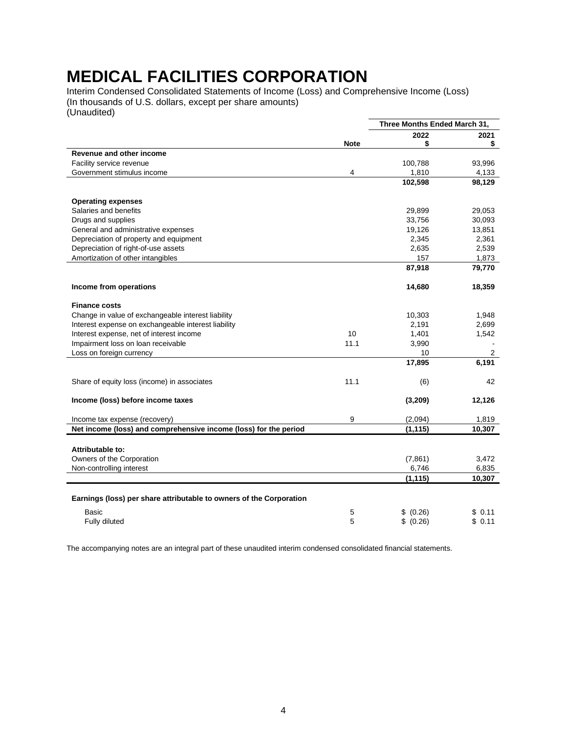<span id="page-4-0"></span>Interim Condensed Consolidated Statements of Income (Loss) and Comprehensive Income (Loss) (In thousands of U.S. dollars, except per share amounts) (Unaudited)

|                                                                     |             | Three Months Ended March 31, |        |
|---------------------------------------------------------------------|-------------|------------------------------|--------|
|                                                                     |             | 2022                         | 2021   |
|                                                                     | <b>Note</b> | \$                           | S      |
| <b>Revenue and other income</b>                                     |             |                              |        |
| Facility service revenue                                            |             | 100,788                      | 93,996 |
| Government stimulus income                                          | 4           | 1,810                        | 4,133  |
|                                                                     |             | 102,598                      | 98,129 |
| <b>Operating expenses</b>                                           |             |                              |        |
| Salaries and benefits                                               |             | 29,899                       | 29,053 |
| Drugs and supplies                                                  |             | 33,756                       | 30,093 |
| General and administrative expenses                                 |             | 19,126                       | 13,851 |
| Depreciation of property and equipment                              |             | 2,345                        | 2,361  |
| Depreciation of right-of-use assets                                 |             | 2,635                        | 2,539  |
| Amortization of other intangibles                                   |             | 157                          | 1,873  |
|                                                                     |             | 87,918                       | 79,770 |
| Income from operations                                              |             | 14,680                       | 18,359 |
| <b>Finance costs</b>                                                |             |                              |        |
| Change in value of exchangeable interest liability                  |             | 10,303                       | 1,948  |
| Interest expense on exchangeable interest liability                 |             | 2,191                        | 2,699  |
| Interest expense, net of interest income                            | 10          | 1,401                        | 1,542  |
| Impairment loss on loan receivable                                  | 11.1        | 3,990                        |        |
| Loss on foreign currency                                            |             | 10                           | 2      |
|                                                                     |             | 17,895                       | 6,191  |
| Share of equity loss (income) in associates                         | 11.1        | (6)                          | 42     |
| Income (loss) before income taxes                                   |             | (3,209)                      | 12,126 |
| Income tax expense (recovery)                                       | 9           | (2,094)                      | 1,819  |
| Net income (loss) and comprehensive income (loss) for the period    |             | (1, 115)                     | 10,307 |
| Attributable to:                                                    |             |                              |        |
| Owners of the Corporation                                           |             | (7,861)                      | 3,472  |
| Non-controlling interest                                            |             | 6,746                        | 6,835  |
|                                                                     |             | (1, 115)                     | 10,307 |
|                                                                     |             |                              |        |
| Earnings (loss) per share attributable to owners of the Corporation |             |                              |        |
| Basic                                                               | 5           | (0.26)<br>\$                 | \$0.11 |
| Fully diluted                                                       | 5           | \$ (0.26)                    | \$0.11 |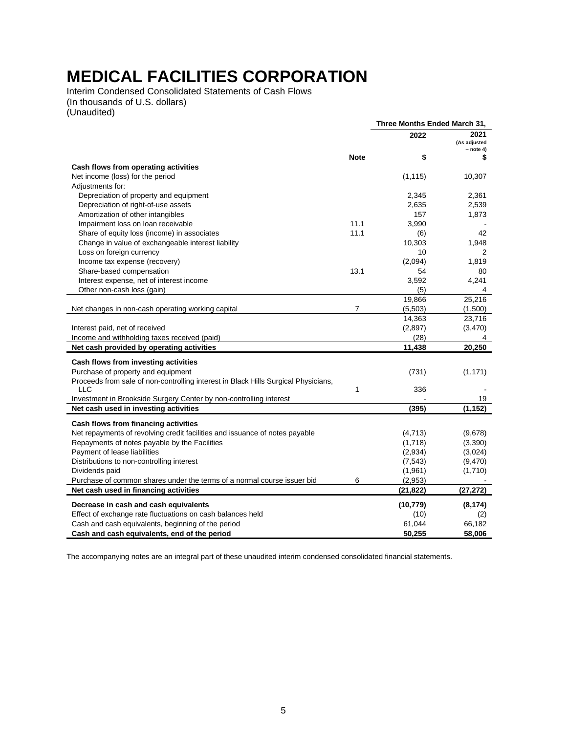<span id="page-5-0"></span>Interim Condensed Consolidated Statements of Cash Flows (In thousands of U.S. dollars) (Unaudited)

|                                                                                    |                | Three Months Ended March 31, |                      |
|------------------------------------------------------------------------------------|----------------|------------------------------|----------------------|
|                                                                                    |                | 2022                         | 2021<br>(As adjusted |
|                                                                                    | <b>Note</b>    | \$                           | $-$ note 4)<br>\$    |
| Cash flows from operating activities                                               |                |                              |                      |
| Net income (loss) for the period                                                   |                | (1, 115)                     | 10,307               |
| Adjustments for:                                                                   |                |                              |                      |
| Depreciation of property and equipment                                             |                | 2,345                        | 2,361                |
| Depreciation of right-of-use assets                                                |                | 2,635                        | 2,539                |
| Amortization of other intangibles                                                  |                | 157                          | 1,873                |
| Impairment loss on loan receivable                                                 | 11.1           | 3,990                        |                      |
| Share of equity loss (income) in associates                                        | 11.1           | (6)                          | 42                   |
| Change in value of exchangeable interest liability                                 |                | 10,303                       | 1,948                |
| Loss on foreign currency                                                           |                | 10                           | 2                    |
| Income tax expense (recovery)                                                      |                | (2,094)                      | 1,819                |
| Share-based compensation                                                           | 13.1           | 54                           | 80                   |
| Interest expense, net of interest income                                           |                | 3,592                        | 4,241                |
| Other non-cash loss (gain)                                                         |                | (5)                          | 4                    |
|                                                                                    |                | 19,866                       | 25,216               |
| Net changes in non-cash operating working capital                                  | $\overline{7}$ | (5,503)                      | (1,500)              |
|                                                                                    |                | 14,363                       | 23,716               |
| Interest paid, net of received                                                     |                | (2,897)                      | (3, 470)             |
| Income and withholding taxes received (paid)                                       |                | (28)                         | 4                    |
| Net cash provided by operating activities                                          |                | 11,438                       | 20,250               |
| Cash flows from investing activities                                               |                |                              |                      |
| Purchase of property and equipment                                                 |                | (731)                        | (1, 171)             |
| Proceeds from sale of non-controlling interest in Black Hills Surgical Physicians, |                |                              |                      |
| <b>LLC</b>                                                                         | 1              | 336                          |                      |
| Investment in Brookside Surgery Center by non-controlling interest                 |                |                              | 19                   |
| Net cash used in investing activities                                              |                | (395)                        | (1, 152)             |
|                                                                                    |                |                              |                      |
| Cash flows from financing activities                                               |                |                              |                      |
| Net repayments of revolving credit facilities and issuance of notes payable        |                | (4, 713)                     | (9,678)              |
| Repayments of notes payable by the Facilities                                      |                | (1,718)                      | (3,390)              |
| Payment of lease liabilities                                                       |                | (2,934)                      | (3,024)              |
| Distributions to non-controlling interest                                          |                | (7, 543)                     | (9,470)              |
| Dividends paid                                                                     |                | (1,961)                      | (1,710)              |
| Purchase of common shares under the terms of a normal course issuer bid            | 6              | (2,953)                      |                      |
| Net cash used in financing activities                                              |                | (21, 822)                    | (27, 272)            |
| Decrease in cash and cash equivalents                                              |                | (10, 779)                    | (8, 174)             |
| Effect of exchange rate fluctuations on cash balances held                         |                | (10)                         | (2)                  |
| Cash and cash equivalents, beginning of the period                                 |                | 61,044                       | 66,182               |
| Cash and cash equivalents, end of the period                                       |                | 50,255                       | 58.006               |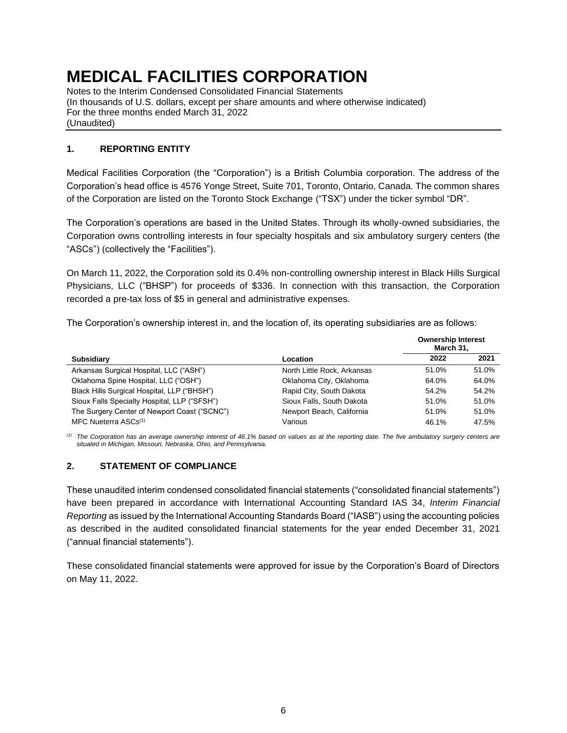Notes to the Interim Condensed Consolidated Financial Statements (In thousands of U.S. dollars, except per share amounts and where otherwise indicated) For the three months ended March 31, 2022 (Unaudited)

### <span id="page-6-0"></span>**1. REPORTING ENTITY**

Medical Facilities Corporation (the "Corporation") is a British Columbia corporation. The address of the Corporation's head office is 4576 Yonge Street, Suite 701, Toronto, Ontario, Canada. The common shares of the Corporation are listed on the Toronto Stock Exchange ("TSX") under the ticker symbol "DR".

The Corporation's operations are based in the United States. Through its wholly-owned subsidiaries, the Corporation owns controlling interests in four specialty hospitals and six ambulatory surgery centers (the "ASCs") (collectively the "Facilities").

On March 11, 2022, the Corporation sold its 0.4% non-controlling ownership interest in Black Hills Surgical Physicians, LLC ("BHSP") for proceeds of \$336. In connection with this transaction, the Corporation recorded a pre-tax loss of \$5 in general and administrative expenses.

The Corporation's ownership interest in, and the location of, its operating subsidiaries are as follows:

|                                              |                             | <b>Ownership Interest</b><br>March 31, |       |
|----------------------------------------------|-----------------------------|----------------------------------------|-------|
| <b>Subsidiary</b>                            | Location                    | 2022                                   | 2021  |
| Arkansas Surgical Hospital, LLC ("ASH")      | North Little Rock, Arkansas | 51.0%                                  | 51.0% |
| Oklahoma Spine Hospital, LLC ("OSH")         | Oklahoma City, Oklahoma     | 64.0%                                  | 64.0% |
| Black Hills Surgical Hospital, LLP ("BHSH")  | Rapid City, South Dakota    | 54.2%                                  | 54.2% |
| Sioux Falls Specialty Hospital, LLP ("SFSH") | Sioux Falls, South Dakota   | 51.0%                                  | 51.0% |
| The Surgery Center of Newport Coast ("SCNC") | Newport Beach, California   | 51.0%                                  | 51.0% |
| MFC Nueterra ASCs <sup>(1)</sup>             | Various                     | 46.1%                                  | 47.5% |

*(1) The Corporation has an average ownership interest of 46.1% based on values as at the reporting date. The five ambulatory surgery centers are situated in Michigan, Missouri, Nebraska, Ohio, and Pennsylvania.*

### <span id="page-6-1"></span>**2. STATEMENT OF COMPLIANCE**

These unaudited interim condensed consolidated financial statements ("consolidated financial statements") have been prepared in accordance with International Accounting Standard IAS 34, *Interim Financial Reporting* as issued by the International Accounting Standards Board ("IASB") using the accounting policies as described in the audited consolidated financial statements for the year ended December 31, 2021 ("annual financial statements").

These consolidated financial statements were approved for issue by the Corporation's Board of Directors on May 11, 2022.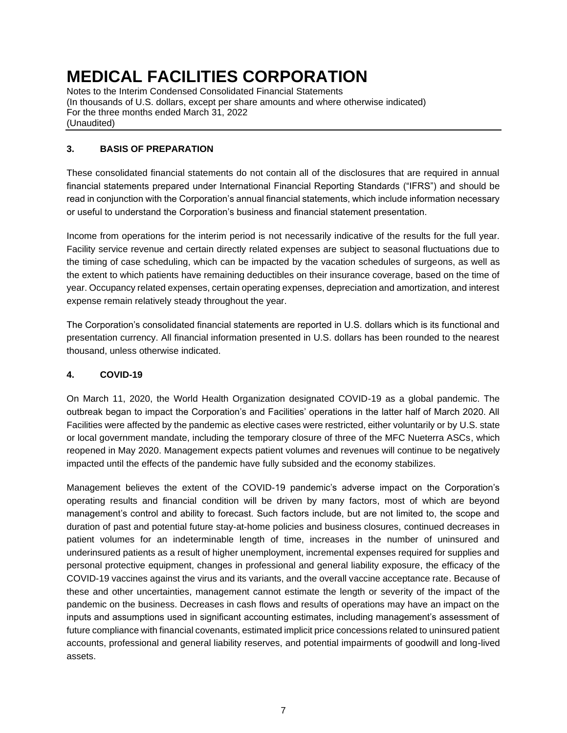Notes to the Interim Condensed Consolidated Financial Statements (In thousands of U.S. dollars, except per share amounts and where otherwise indicated) For the three months ended March 31, 2022 (Unaudited)

### <span id="page-7-0"></span>**3. BASIS OF PREPARATION**

These consolidated financial statements do not contain all of the disclosures that are required in annual financial statements prepared under International Financial Reporting Standards ("IFRS") and should be read in conjunction with the Corporation's annual financial statements, which include information necessary or useful to understand the Corporation's business and financial statement presentation.

Income from operations for the interim period is not necessarily indicative of the results for the full year. Facility service revenue and certain directly related expenses are subject to seasonal fluctuations due to the timing of case scheduling, which can be impacted by the vacation schedules of surgeons, as well as the extent to which patients have remaining deductibles on their insurance coverage, based on the time of year. Occupancy related expenses, certain operating expenses, depreciation and amortization, and interest expense remain relatively steady throughout the year.

The Corporation's consolidated financial statements are reported in U.S. dollars which is its functional and presentation currency. All financial information presented in U.S. dollars has been rounded to the nearest thousand, unless otherwise indicated.

### <span id="page-7-1"></span>**4. COVID-19**

On March 11, 2020, the World Health Organization designated COVID-19 as a global pandemic. The outbreak began to impact the Corporation's and Facilities' operations in the latter half of March 2020. All Facilities were affected by the pandemic as elective cases were restricted, either voluntarily or by U.S. state or local government mandate, including the temporary closure of three of the MFC Nueterra ASCs, which reopened in May 2020. Management expects patient volumes and revenues will continue to be negatively impacted until the effects of the pandemic have fully subsided and the economy stabilizes.

Management believes the extent of the COVID-19 pandemic's adverse impact on the Corporation's operating results and financial condition will be driven by many factors, most of which are beyond management's control and ability to forecast. Such factors include, but are not limited to, the scope and duration of past and potential future stay-at-home policies and business closures, continued decreases in patient volumes for an indeterminable length of time, increases in the number of uninsured and underinsured patients as a result of higher unemployment, incremental expenses required for supplies and personal protective equipment, changes in professional and general liability exposure, the efficacy of the COVID-19 vaccines against the virus and its variants, and the overall vaccine acceptance rate. Because of these and other uncertainties, management cannot estimate the length or severity of the impact of the pandemic on the business. Decreases in cash flows and results of operations may have an impact on the inputs and assumptions used in significant accounting estimates, including management's assessment of future compliance with financial covenants, estimated implicit price concessions related to uninsured patient accounts, professional and general liability reserves, and potential impairments of goodwill and long-lived assets.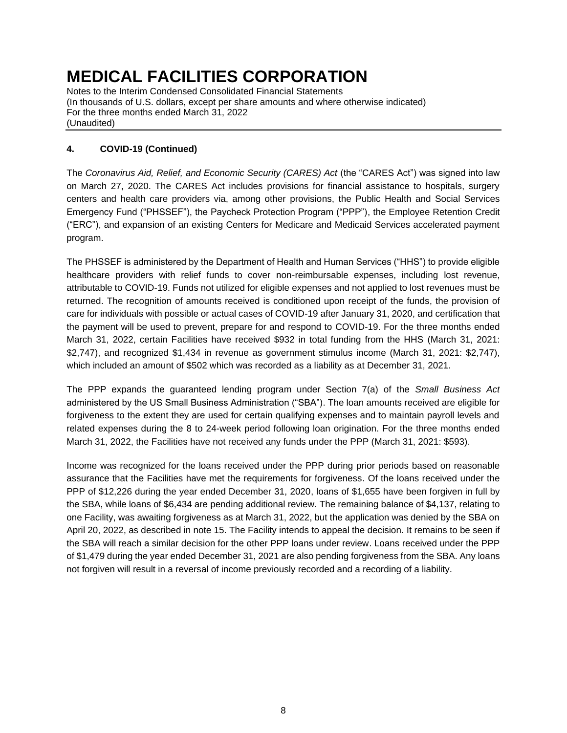Notes to the Interim Condensed Consolidated Financial Statements (In thousands of U.S. dollars, except per share amounts and where otherwise indicated) For the three months ended March 31, 2022 (Unaudited)

## **4. COVID-19 (Continued)**

The *Coronavirus Aid, Relief, and Economic Security (CARES) Act* (the "CARES Act") was signed into law on March 27, 2020. The CARES Act includes provisions for financial assistance to hospitals, surgery centers and health care providers via, among other provisions, the Public Health and Social Services Emergency Fund ("PHSSEF"), the Paycheck Protection Program ("PPP"), the Employee Retention Credit ("ERC"), and expansion of an existing Centers for Medicare and Medicaid Services accelerated payment program.

The PHSSEF is administered by the Department of Health and Human Services ("HHS") to provide eligible healthcare providers with relief funds to cover non-reimbursable expenses, including lost revenue, attributable to COVID-19. Funds not utilized for eligible expenses and not applied to lost revenues must be returned. The recognition of amounts received is conditioned upon receipt of the funds, the provision of care for individuals with possible or actual cases of COVID-19 after January 31, 2020, and certification that the payment will be used to prevent, prepare for and respond to COVID-19. For the three months ended March 31, 2022, certain Facilities have received \$932 in total funding from the HHS (March 31, 2021: \$2,747), and recognized \$1,434 in revenue as government stimulus income (March 31, 2021: \$2,747), which included an amount of \$502 which was recorded as a liability as at December 31, 2021.

The PPP expands the guaranteed lending program under Section 7(a) of the *Small Business Act*  administered by the US Small Business Administration ("SBA"). The loan amounts received are eligible for forgiveness to the extent they are used for certain qualifying expenses and to maintain payroll levels and related expenses during the 8 to 24-week period following loan origination. For the three months ended March 31, 2022, the Facilities have not received any funds under the PPP (March 31, 2021: \$593).

Income was recognized for the loans received under the PPP during prior periods based on reasonable assurance that the Facilities have met the requirements for forgiveness. Of the loans received under the PPP of \$12,226 during the year ended December 31, 2020, loans of \$1,655 have been forgiven in full by the SBA, while loans of \$6,434 are pending additional review. The remaining balance of \$4,137, relating to one Facility, was awaiting forgiveness as at March 31, 2022, but the application was denied by the SBA on April 20, 2022, as described in note 15. The Facility intends to appeal the decision. It remains to be seen if the SBA will reach a similar decision for the other PPP loans under review. Loans received under the PPP of \$1,479 during the year ended December 31, 2021 are also pending forgiveness from the SBA. Any loans not forgiven will result in a reversal of income previously recorded and a recording of a liability.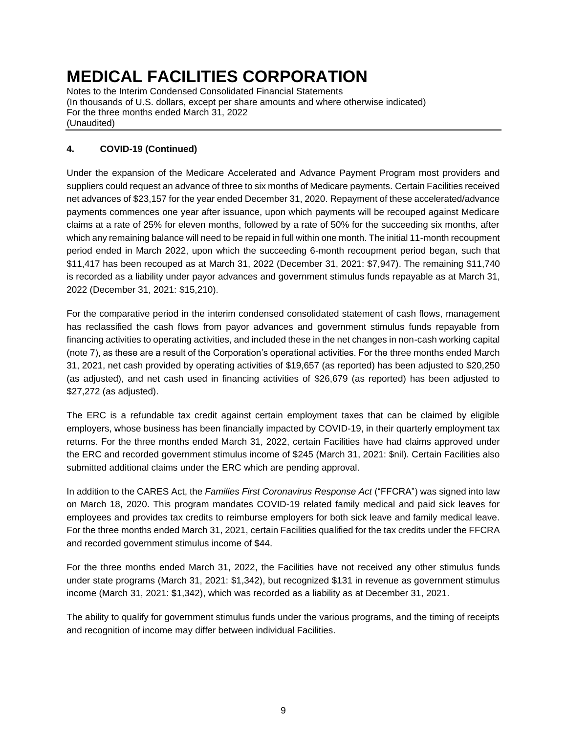Notes to the Interim Condensed Consolidated Financial Statements (In thousands of U.S. dollars, except per share amounts and where otherwise indicated) For the three months ended March 31, 2022 (Unaudited)

### **4. COVID-19 (Continued)**

Under the expansion of the Medicare Accelerated and Advance Payment Program most providers and suppliers could request an advance of three to six months of Medicare payments. Certain Facilities received net advances of \$23,157 for the year ended December 31, 2020. Repayment of these accelerated/advance payments commences one year after issuance, upon which payments will be recouped against Medicare claims at a rate of 25% for eleven months, followed by a rate of 50% for the succeeding six months, after which any remaining balance will need to be repaid in full within one month. The initial 11-month recoupment period ended in March 2022, upon which the succeeding 6-month recoupment period began, such that \$11,417 has been recouped as at March 31, 2022 (December 31, 2021: \$7,947). The remaining \$11,740 is recorded as a liability under payor advances and government stimulus funds repayable as at March 31, 2022 (December 31, 2021: \$15,210).

For the comparative period in the interim condensed consolidated statement of cash flows, management has reclassified the cash flows from payor advances and government stimulus funds repayable from financing activities to operating activities, and included these in the net changes in non-cash working capital (note 7), as these are a result of the Corporation's operational activities. For the three months ended March 31, 2021, net cash provided by operating activities of \$19,657 (as reported) has been adjusted to \$20,250 (as adjusted), and net cash used in financing activities of \$26,679 (as reported) has been adjusted to \$27,272 (as adjusted).

The ERC is a refundable tax credit against certain employment taxes that can be claimed by eligible employers, whose business has been financially impacted by COVID-19, in their quarterly employment tax returns. For the three months ended March 31, 2022, certain Facilities have had claims approved under the ERC and recorded government stimulus income of \$245 (March 31, 2021: \$nil). Certain Facilities also submitted additional claims under the ERC which are pending approval.

In addition to the CARES Act, the *Families First Coronavirus Response Act* ("FFCRA") was signed into law on March 18, 2020. This program mandates COVID-19 related family medical and paid sick leaves for employees and provides tax credits to reimburse employers for both sick leave and family medical leave. For the three months ended March 31, 2021, certain Facilities qualified for the tax credits under the FFCRA and recorded government stimulus income of \$44.

For the three months ended March 31, 2022, the Facilities have not received any other stimulus funds under state programs (March 31, 2021: \$1,342), but recognized \$131 in revenue as government stimulus income (March 31, 2021: \$1,342), which was recorded as a liability as at December 31, 2021.

The ability to qualify for government stimulus funds under the various programs, and the timing of receipts and recognition of income may differ between individual Facilities.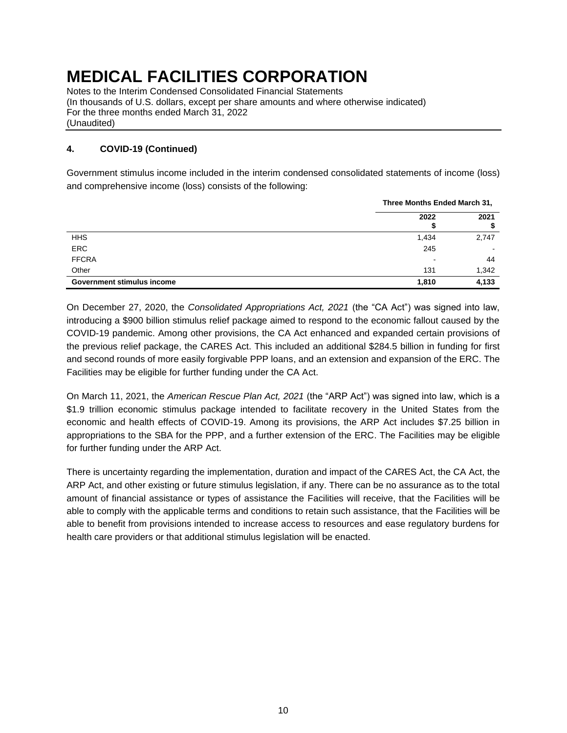Notes to the Interim Condensed Consolidated Financial Statements (In thousands of U.S. dollars, except per share amounts and where otherwise indicated) For the three months ended March 31, 2022 (Unaudited)

### **4. COVID-19 (Continued)**

Government stimulus income included in the interim condensed consolidated statements of income (loss) and comprehensive income (loss) consists of the following:

|                                   | Three Months Ended March 31, |                          |  |
|-----------------------------------|------------------------------|--------------------------|--|
|                                   | 2022                         | 2021                     |  |
| <b>HHS</b>                        | 1,434                        | 2,747                    |  |
| <b>ERC</b>                        | 245                          | $\overline{\phantom{0}}$ |  |
| <b>FFCRA</b>                      | -                            | 44                       |  |
| Other                             | 131                          | 1,342                    |  |
| <b>Government stimulus income</b> | 1,810                        | 4,133                    |  |

On December 27, 2020, the *Consolidated Appropriations Act, 2021* (the "CA Act") was signed into law, introducing a \$900 billion stimulus relief package aimed to respond to the economic fallout caused by the COVID-19 pandemic. Among other provisions, the CA Act enhanced and expanded certain provisions of the previous relief package, the CARES Act. This included an additional \$284.5 billion in funding for first and second rounds of more easily forgivable PPP loans, and an extension and expansion of the ERC. The Facilities may be eligible for further funding under the CA Act.

On March 11, 2021, the *American Rescue Plan Act, 2021* (the "ARP Act") was signed into law, which is a \$1.9 trillion economic stimulus package intended to facilitate recovery in the United States from the economic and health effects of COVID-19. Among its provisions, the ARP Act includes \$7.25 billion in appropriations to the SBA for the PPP, and a further extension of the ERC. The Facilities may be eligible for further funding under the ARP Act.

There is uncertainty regarding the implementation, duration and impact of the CARES Act, the CA Act, the ARP Act, and other existing or future stimulus legislation, if any. There can be no assurance as to the total amount of financial assistance or types of assistance the Facilities will receive, that the Facilities will be able to comply with the applicable terms and conditions to retain such assistance, that the Facilities will be able to benefit from provisions intended to increase access to resources and ease regulatory burdens for health care providers or that additional stimulus legislation will be enacted.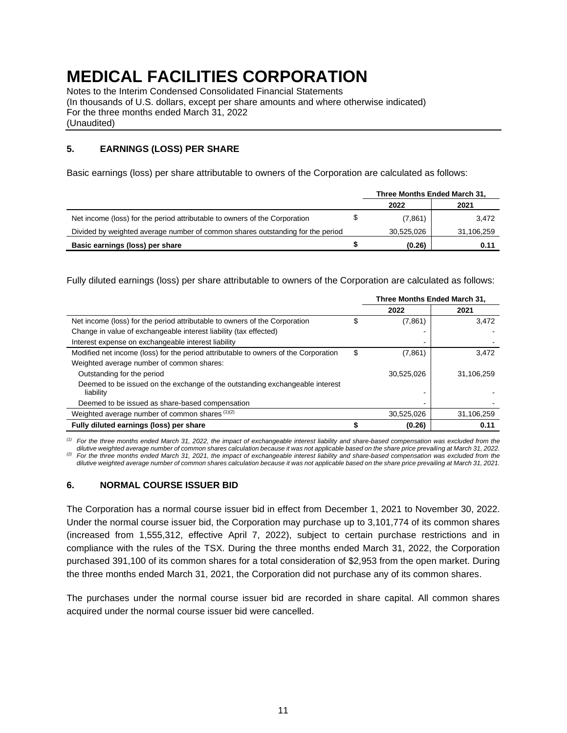Notes to the Interim Condensed Consolidated Financial Statements (In thousands of U.S. dollars, except per share amounts and where otherwise indicated) For the three months ended March 31, 2022 (Unaudited)

### <span id="page-11-0"></span>**5. EARNINGS (LOSS) PER SHARE**

Basic earnings (loss) per share attributable to owners of the Corporation are calculated as follows:

|                                                                                |   | Three Months Ended March 31, |            |
|--------------------------------------------------------------------------------|---|------------------------------|------------|
|                                                                                |   | 2022                         | 2021       |
| Net income (loss) for the period attributable to owners of the Corporation     | S | (7,861)                      | 3.472      |
| Divided by weighted average number of common shares outstanding for the period |   | 30,525,026                   | 31,106,259 |
| Basic earnings (loss) per share                                                |   | (0.26)                       | 0.11       |

Fully diluted earnings (loss) per share attributable to owners of the Corporation are calculated as follows:

|                                                                                     |    | Three Months Ended March 31, |            |
|-------------------------------------------------------------------------------------|----|------------------------------|------------|
|                                                                                     |    | 2022                         | 2021       |
| Net income (loss) for the period attributable to owners of the Corporation          | S  | (7,861)                      | 3.472      |
| Change in value of exchangeable interest liability (tax effected)                   |    |                              |            |
| Interest expense on exchangeable interest liability                                 |    |                              |            |
| Modified net income (loss) for the period attributable to owners of the Corporation | \$ | (7,861)                      | 3,472      |
| Weighted average number of common shares:                                           |    |                              |            |
| Outstanding for the period                                                          |    | 30,525,026                   | 31,106,259 |
| Deemed to be issued on the exchange of the outstanding exchangeable interest        |    |                              |            |
| liability                                                                           |    |                              |            |
| Deemed to be issued as share-based compensation                                     |    |                              |            |
| Weighted average number of common shares (1)(2)                                     |    | 30,525,026                   | 31,106,259 |
| Fully diluted earnings (loss) per share                                             |    | (0.26)                       | 0.11       |

*(1) For the three months ended March 31, 2022, the impact of exchangeable interest liability and share-based compensation was excluded from the dilutive weighted average number of common shares calculation because it was not applicable based on the share price prevailing at March 31, 2022.*

*(2) For the three months ended March 31, 2021, the impact of exchangeable interest liability and share-based compensation was excluded from the dilutive weighted average number of common shares calculation because it was not applicable based on the share price prevailing at March 31, 2021.*

#### <span id="page-11-1"></span>**6. NORMAL COURSE ISSUER BID**

The Corporation has a normal course issuer bid in effect from December 1, 2021 to November 30, 2022. Under the normal course issuer bid, the Corporation may purchase up to 3,101,774 of its common shares (increased from 1,555,312, effective April 7, 2022), subject to certain purchase restrictions and in compliance with the rules of the TSX. During the three months ended March 31, 2022, the Corporation purchased 391,100 of its common shares for a total consideration of \$2,953 from the open market. During the three months ended March 31, 2021, the Corporation did not purchase any of its common shares.

The purchases under the normal course issuer bid are recorded in share capital. All common shares acquired under the normal course issuer bid were cancelled.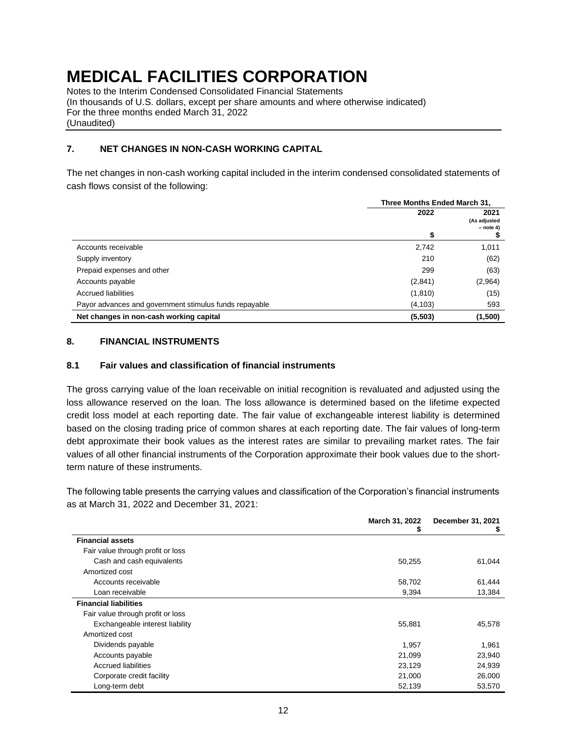Notes to the Interim Condensed Consolidated Financial Statements (In thousands of U.S. dollars, except per share amounts and where otherwise indicated) For the three months ended March 31, 2022 (Unaudited)

### <span id="page-12-0"></span>**7. NET CHANGES IN NON-CASH WORKING CAPITAL**

The net changes in non-cash working capital included in the interim condensed consolidated statements of cash flows consist of the following:

|                                                        | Three Months Ended March 31, |                                     |  |
|--------------------------------------------------------|------------------------------|-------------------------------------|--|
|                                                        | 2022                         | 2021<br>(As adjusted<br>$-$ note 4) |  |
|                                                        | \$                           |                                     |  |
| Accounts receivable                                    | 2,742                        | 1,011                               |  |
| Supply inventory                                       | 210                          | (62)                                |  |
| Prepaid expenses and other                             | 299                          | (63)                                |  |
| Accounts payable                                       | (2,841)                      | (2,964)                             |  |
| Accrued liabilities                                    | (1, 810)                     | (15)                                |  |
| Payor advances and government stimulus funds repayable | (4, 103)                     | 593                                 |  |
| Net changes in non-cash working capital                | (5,503)                      | (1,500)                             |  |

#### <span id="page-12-1"></span>**8. FINANCIAL INSTRUMENTS**

#### **8.1 Fair values and classification of financial instruments**

The gross carrying value of the loan receivable on initial recognition is revaluated and adjusted using the loss allowance reserved on the loan. The loss allowance is determined based on the lifetime expected credit loss model at each reporting date. The fair value of exchangeable interest liability is determined based on the closing trading price of common shares at each reporting date. The fair values of long-term debt approximate their book values as the interest rates are similar to prevailing market rates. The fair values of all other financial instruments of the Corporation approximate their book values due to the shortterm nature of these instruments.

The following table presents the carrying values and classification of the Corporation's financial instruments as at March 31, 2022 and December 31, 2021:

|                                   | March 31, 2022<br>ъ | December 31, 2021<br>\$ |
|-----------------------------------|---------------------|-------------------------|
| <b>Financial assets</b>           |                     |                         |
| Fair value through profit or loss |                     |                         |
| Cash and cash equivalents         | 50,255              | 61,044                  |
| Amortized cost                    |                     |                         |
| Accounts receivable               | 58,702              | 61,444                  |
| Loan receivable                   | 9,394               | 13,384                  |
| <b>Financial liabilities</b>      |                     |                         |
| Fair value through profit or loss |                     |                         |
| Exchangeable interest liability   | 55,881              | 45,578                  |
| Amortized cost                    |                     |                         |
| Dividends payable                 | 1,957               | 1,961                   |
| Accounts payable                  | 21,099              | 23,940                  |
| <b>Accrued liabilities</b>        | 23,129              | 24,939                  |
| Corporate credit facility         | 21,000              | 26,000                  |
| Long-term debt                    | 52,139              | 53,570                  |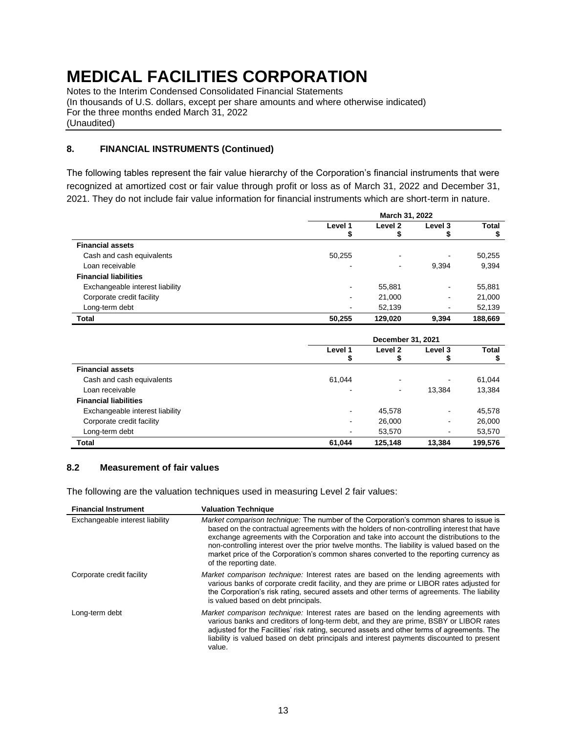Notes to the Interim Condensed Consolidated Financial Statements (In thousands of U.S. dollars, except per share amounts and where otherwise indicated) For the three months ended March 31, 2022 (Unaudited)

## **8. FINANCIAL INSTRUMENTS (Continued)**

The following tables represent the fair value hierarchy of the Corporation's financial instruments that were recognized at amortized cost or fair value through profit or loss as of March 31, 2022 and December 31, 2021. They do not include fair value information for financial instruments which are short-term in nature.

|                                 | March 31, 2022               |         |                |         |  |
|---------------------------------|------------------------------|---------|----------------|---------|--|
|                                 | Level 1                      | Level 2 | Level 3        | Total   |  |
|                                 | æ                            | Ф       |                |         |  |
| <b>Financial assets</b>         |                              |         |                |         |  |
| Cash and cash equivalents       | 50,255                       | -       |                | 50,255  |  |
| Loan receivable                 | $\blacksquare$               | -       | 9,394          | 9,394   |  |
| <b>Financial liabilities</b>    |                              |         |                |         |  |
| Exchangeable interest liability | ٠                            | 55,881  | $\,$           | 55,881  |  |
| Corporate credit facility       |                              | 21,000  | ۰              | 21,000  |  |
| Long-term debt                  | $\qquad \qquad \blacksquare$ | 52,139  | $\blacksquare$ | 52,139  |  |
| <b>Total</b>                    | 50,255                       | 129,020 | 9,394          | 188,669 |  |

|                                 | December 31, 2021            |                          |         |         |  |
|---------------------------------|------------------------------|--------------------------|---------|---------|--|
|                                 | Level 1                      | Level 2<br>æ             | Level 3 | Total   |  |
| <b>Financial assets</b>         | æ                            |                          |         |         |  |
| Cash and cash equivalents       | 61.044                       | $\overline{\phantom{a}}$ |         | 61,044  |  |
| Loan receivable                 | ٠                            | $\overline{\phantom{a}}$ | 13,384  | 13,384  |  |
| <b>Financial liabilities</b>    |                              |                          |         |         |  |
| Exchangeable interest liability | $\blacksquare$               | 45,578                   | ۰       | 45,578  |  |
| Corporate credit facility       | ۰.                           | 26,000                   |         | 26,000  |  |
| Long-term debt                  | $\qquad \qquad \blacksquare$ | 53,570                   | ۰       | 53,570  |  |
| <b>Total</b>                    | 61,044                       | 125,148                  | 13,384  | 199,576 |  |

#### **8.2 Measurement of fair values**

The following are the valuation techniques used in measuring Level 2 fair values:

| <b>Financial Instrument</b>     | <b>Valuation Technique</b>                                                                                                                                                                                                                                                                                                                                                                                                                                                                                |
|---------------------------------|-----------------------------------------------------------------------------------------------------------------------------------------------------------------------------------------------------------------------------------------------------------------------------------------------------------------------------------------------------------------------------------------------------------------------------------------------------------------------------------------------------------|
| Exchangeable interest liability | <i>Market comparison technique:</i> The number of the Corporation's common shares to issue is<br>based on the contractual agreements with the holders of non-controlling interest that have<br>exchange agreements with the Corporation and take into account the distributions to the<br>non-controlling interest over the prior twelve months. The liability is valued based on the<br>market price of the Corporation's common shares converted to the reporting currency as<br>of the reporting date. |
| Corporate credit facility       | Market comparison technique: Interest rates are based on the lending agreements with<br>various banks of corporate credit facility, and they are prime or LIBOR rates adjusted for<br>the Corporation's risk rating, secured assets and other terms of agreements. The liability<br>is valued based on debt principals.                                                                                                                                                                                   |
| Long-term debt                  | Market comparison technique: Interest rates are based on the lending agreements with<br>various banks and creditors of long-term debt, and they are prime, BSBY or LIBOR rates<br>adjusted for the Facilities' risk rating, secured assets and other terms of agreements. The<br>liability is valued based on debt principals and interest payments discounted to present<br>value.                                                                                                                       |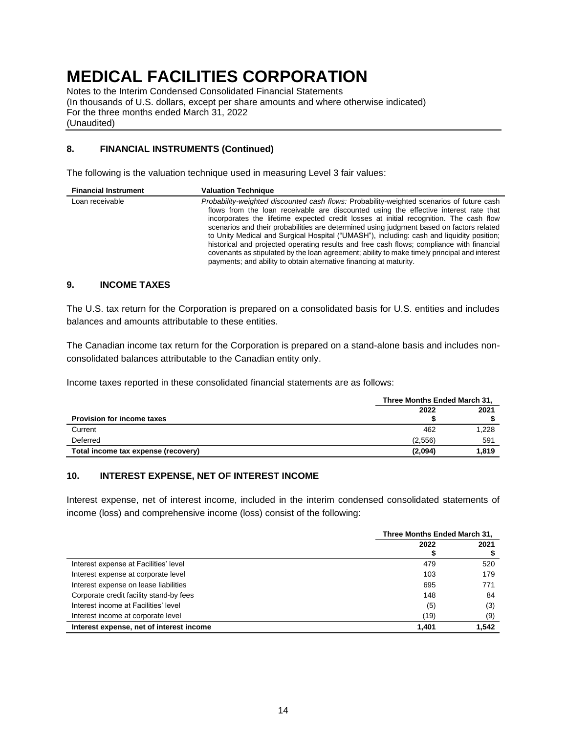Notes to the Interim Condensed Consolidated Financial Statements (In thousands of U.S. dollars, except per share amounts and where otherwise indicated) For the three months ended March 31, 2022 (Unaudited)

### **8. FINANCIAL INSTRUMENTS (Continued)**

The following is the valuation technique used in measuring Level 3 fair values:

| <b>Financial Instrument</b> | <b>Valuation Technique</b>                                                                                                                                                                                                                                                                                                                                                                                                                                                                                                                                                                                                                                                                                                              |
|-----------------------------|-----------------------------------------------------------------------------------------------------------------------------------------------------------------------------------------------------------------------------------------------------------------------------------------------------------------------------------------------------------------------------------------------------------------------------------------------------------------------------------------------------------------------------------------------------------------------------------------------------------------------------------------------------------------------------------------------------------------------------------------|
| Loan receivable             | Probability-weighted discounted cash flows: Probability-weighted scenarios of future cash<br>flows from the loan receivable are discounted using the effective interest rate that<br>incorporates the lifetime expected credit losses at initial recognition. The cash flow<br>scenarios and their probabilities are determined using judgment based on factors related<br>to Unity Medical and Surgical Hospital ("UMASH"), including: cash and liquidity position;<br>historical and projected operating results and free cash flows; compliance with financial<br>covenants as stipulated by the loan agreement; ability to make timely principal and interest<br>payments; and ability to obtain alternative financing at maturity. |

#### <span id="page-14-0"></span>**9. INCOME TAXES**

The U.S. tax return for the Corporation is prepared on a consolidated basis for U.S. entities and includes balances and amounts attributable to these entities.

The Canadian income tax return for the Corporation is prepared on a stand-alone basis and includes nonconsolidated balances attributable to the Canadian entity only.

Income taxes reported in these consolidated financial statements are as follows:

|                                     |         | Three Months Ended March 31, |  |  |
|-------------------------------------|---------|------------------------------|--|--|
| <b>Provision for income taxes</b>   | 2022    | 2021                         |  |  |
| Current                             | 462     | 1,228                        |  |  |
| Deferred                            | (2.556) | 591                          |  |  |
| Total income tax expense (recovery) | (2,094) | 1.819                        |  |  |

### <span id="page-14-1"></span>**10. INTEREST EXPENSE, NET OF INTEREST INCOME**

Interest expense, net of interest income, included in the interim condensed consolidated statements of income (loss) and comprehensive income (loss) consist of the following:

|                                          | Three Months Ended March 31, |       |
|------------------------------------------|------------------------------|-------|
|                                          | 2022                         | 2021  |
| Interest expense at Facilities' level    | 479                          | 520   |
| Interest expense at corporate level      | 103                          | 179   |
| Interest expense on lease liabilities    | 695                          | 771   |
| Corporate credit facility stand-by fees  | 148                          | 84    |
| Interest income at Facilities' level     | (5)                          | (3)   |
| Interest income at corporate level       | (19)                         | (9)   |
| Interest expense, net of interest income | 1.401                        | 1,542 |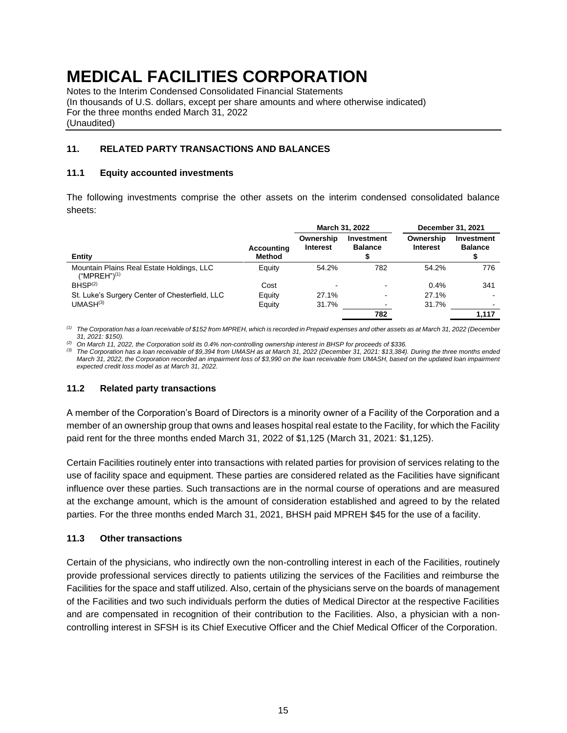Notes to the Interim Condensed Consolidated Financial Statements (In thousands of U.S. dollars, except per share amounts and where otherwise indicated) For the three months ended March 31, 2022 (Unaudited)

### <span id="page-15-0"></span>**11. RELATED PARTY TRANSACTIONS AND BALANCES**

#### **11.1 Equity accounted investments**

The following investments comprise the other assets on the interim condensed consolidated balance sheets:

|                                                                       |                             | March 31, 2022               |                              |                              | December 31, 2021            |
|-----------------------------------------------------------------------|-----------------------------|------------------------------|------------------------------|------------------------------|------------------------------|
| Entity                                                                | <b>Accounting</b><br>Method | Ownership<br><b>Interest</b> | Investment<br><b>Balance</b> | Ownership<br><b>Interest</b> | Investment<br><b>Balance</b> |
| Mountain Plains Real Estate Holdings, LLC<br>("MPREH") <sup>(1)</sup> | Equity                      | 54.2%                        | 782                          | 54.2%                        | 776                          |
| BHSP <sup>(2)</sup>                                                   | Cost                        | $\blacksquare$               |                              | 0.4%                         | 341                          |
| St. Luke's Surgery Center of Chesterfield, LLC                        | Equity                      | 27.1%                        | -                            | 27.1%                        |                              |
| UMASH <sup>(3)</sup>                                                  | Equity                      | 31.7%                        |                              | 31.7%                        |                              |
|                                                                       |                             |                              | 782                          |                              | 1,117                        |

*(1) The Corporation has a loan receivable of \$152 from MPREH, which is recorded in Prepaid expenses and other assets as at March 31, 2022 (December 31, 2021: \$150).*

*(2) On March 11, 2022, the Corporation sold its 0.4% non-controlling ownership interest in BHSP for proceeds of \$336.*

*(3) The Corporation has a loan receivable of \$9,394 from UMASH as at March 31, 2022 (December 31, 2021: \$13,384). During the three months ended March 31, 2022, the Corporation recorded an impairment loss of \$3,990 on the loan receivable from UMASH, based on the updated loan impairment expected credit loss model as at March 31, 2022.*

#### **11.2 Related party transactions**

A member of the Corporation's Board of Directors is a minority owner of a Facility of the Corporation and a member of an ownership group that owns and leases hospital real estate to the Facility, for which the Facility paid rent for the three months ended March 31, 2022 of \$1,125 (March 31, 2021: \$1,125).

Certain Facilities routinely enter into transactions with related parties for provision of services relating to the use of facility space and equipment. These parties are considered related as the Facilities have significant influence over these parties. Such transactions are in the normal course of operations and are measured at the exchange amount, which is the amount of consideration established and agreed to by the related parties. For the three months ended March 31, 2021, BHSH paid MPREH \$45 for the use of a facility.

#### **11.3 Other transactions**

Certain of the physicians, who indirectly own the non-controlling interest in each of the Facilities, routinely provide professional services directly to patients utilizing the services of the Facilities and reimburse the Facilities for the space and staff utilized. Also, certain of the physicians serve on the boards of management of the Facilities and two such individuals perform the duties of Medical Director at the respective Facilities and are compensated in recognition of their contribution to the Facilities. Also, a physician with a noncontrolling interest in SFSH is its Chief Executive Officer and the Chief Medical Officer of the Corporation.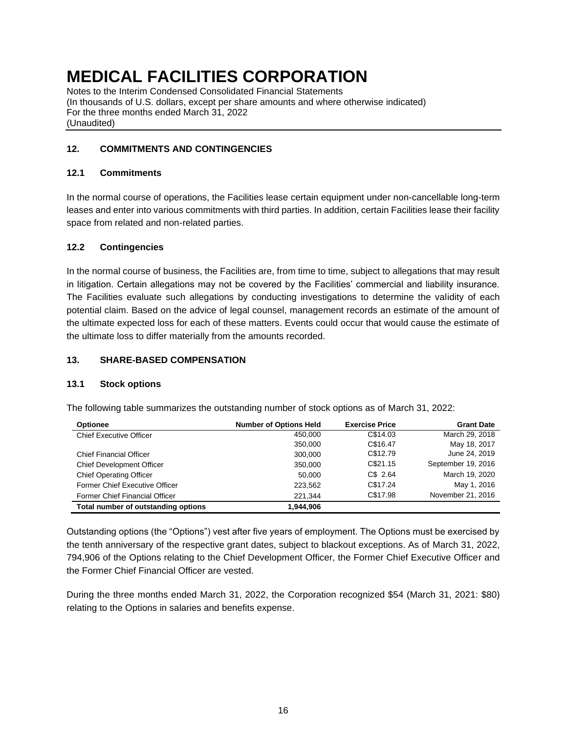Notes to the Interim Condensed Consolidated Financial Statements (In thousands of U.S. dollars, except per share amounts and where otherwise indicated) For the three months ended March 31, 2022 (Unaudited)

### <span id="page-16-0"></span>**12. COMMITMENTS AND CONTINGENCIES**

#### **12.1 Commitments**

In the normal course of operations, the Facilities lease certain equipment under non-cancellable long-term leases and enter into various commitments with third parties. In addition, certain Facilities lease their facility space from related and non-related parties.

### **12.2 Contingencies**

In the normal course of business, the Facilities are, from time to time, subject to allegations that may result in litigation. Certain allegations may not be covered by the Facilities' commercial and liability insurance. The Facilities evaluate such allegations by conducting investigations to determine the validity of each potential claim. Based on the advice of legal counsel, management records an estimate of the amount of the ultimate expected loss for each of these matters. Events could occur that would cause the estimate of the ultimate loss to differ materially from the amounts recorded.

#### <span id="page-16-1"></span>**13. SHARE-BASED COMPENSATION**

#### **13.1 Stock options**

| <b>Optionee</b>                     | <b>Number of Options Held</b> | <b>Exercise Price</b> | <b>Grant Date</b>  |
|-------------------------------------|-------------------------------|-----------------------|--------------------|
| <b>Chief Executive Officer</b>      | 450,000                       | C\$14.03              | March 29, 2018     |
|                                     | 350,000                       | C\$16.47              | May 18, 2017       |
| <b>Chief Financial Officer</b>      | 300,000                       | C\$12.79              | June 24, 2019      |
| <b>Chief Development Officer</b>    | 350,000                       | C\$21.15              | September 19, 2016 |
| <b>Chief Operating Officer</b>      | 50,000                        | $CS$ 2.64             | March 19, 2020     |
| Former Chief Executive Officer      | 223,562                       | C\$17.24              | May 1, 2016        |
| Former Chief Financial Officer      | 221.344                       | C\$17.98              | November 21, 2016  |
| Total number of outstanding options | 1.944.906                     |                       |                    |

The following table summarizes the outstanding number of stock options as of March 31, 2022:

Outstanding options (the "Options") vest after five years of employment. The Options must be exercised by the tenth anniversary of the respective grant dates, subject to blackout exceptions. As of March 31, 2022, 794,906 of the Options relating to the Chief Development Officer, the Former Chief Executive Officer and the Former Chief Financial Officer are vested.

During the three months ended March 31, 2022, the Corporation recognized \$54 (March 31, 2021: \$80) relating to the Options in salaries and benefits expense.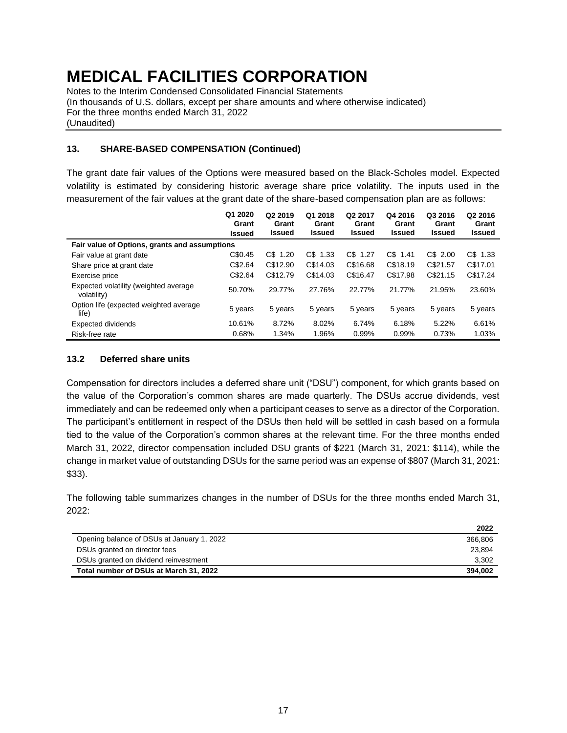Notes to the Interim Condensed Consolidated Financial Statements (In thousands of U.S. dollars, except per share amounts and where otherwise indicated) For the three months ended March 31, 2022 (Unaudited)

#### **13. SHARE-BASED COMPENSATION (Continued)**

The grant date fair values of the Options were measured based on the Black-Scholes model. Expected volatility is estimated by considering historic average share price volatility. The inputs used in the measurement of the fair values at the grant date of the share-based compensation plan are as follows:

|                                                      | Q1 2020<br>Grant<br><b>Issued</b> | Q <sub>2</sub> 2019<br>Grant<br><b>Issued</b> | Q1 2018<br>Grant<br><b>Issued</b> | Q <sub>2</sub> 2017<br>Grant<br><b>Issued</b> | Q4 2016<br>Grant<br><b>Issued</b> | Q3 2016<br>Grant<br>Issued | Q <sub>2</sub> 2016<br>Grant<br><b>Issued</b> |
|------------------------------------------------------|-----------------------------------|-----------------------------------------------|-----------------------------------|-----------------------------------------------|-----------------------------------|----------------------------|-----------------------------------------------|
| Fair value of Options, grants and assumptions        |                                   |                                               |                                   |                                               |                                   |                            |                                               |
| Fair value at grant date                             | C\$0.45                           | $CS$ 1.20                                     | $CS$ 1.33                         | $CS$ 1.27                                     | $CS$ 1.41                         | C\$ 2.00                   | $C$$ 1.33                                     |
| Share price at grant date                            | C\$2.64                           | C\$12.90                                      | C\$14.03                          | C\$16.68                                      | C\$18.19                          | C\$21.57                   | C\$17.01                                      |
| Exercise price                                       | C\$2.64                           | C\$12.79                                      | C\$14.03                          | C\$16.47                                      | C\$17.98                          | C\$21.15                   | C\$17.24                                      |
| Expected volatility (weighted average<br>volatility) | 50.70%                            | 29.77%                                        | 27.76%                            | 22.77%                                        | 21.77%                            | 21.95%                     | 23.60%                                        |
| Option life (expected weighted average<br>life)      | 5 years                           | 5 years                                       | 5 years                           | 5 years                                       | 5 years                           | 5 years                    | 5 years                                       |
| <b>Expected dividends</b>                            | 10.61%                            | 8.72%                                         | 8.02%                             | 6.74%                                         | 6.18%                             | 5.22%                      | 6.61%                                         |
| Risk-free rate                                       | 0.68%                             | 1.34%                                         | 1.96%                             | 0.99%                                         | 0.99%                             | 0.73%                      | 1.03%                                         |

#### **13.2 Deferred share units**

Compensation for directors includes a deferred share unit ("DSU") component, for which grants based on the value of the Corporation's common shares are made quarterly. The DSUs accrue dividends, vest immediately and can be redeemed only when a participant ceases to serve as a director of the Corporation. The participant's entitlement in respect of the DSUs then held will be settled in cash based on a formula tied to the value of the Corporation's common shares at the relevant time. For the three months ended March 31, 2022, director compensation included DSU grants of \$221 (March 31, 2021: \$114), while the change in market value of outstanding DSUs for the same period was an expense of \$807 (March 31, 2021: \$33).

The following table summarizes changes in the number of DSUs for the three months ended March 31, 2022:

|                                            | 2022    |
|--------------------------------------------|---------|
| Opening balance of DSUs at January 1, 2022 | 366,806 |
| DSUs granted on director fees              | 23.894  |
| DSUs granted on dividend reinvestment      | 3,302   |
| Total number of DSUs at March 31, 2022     | 394.002 |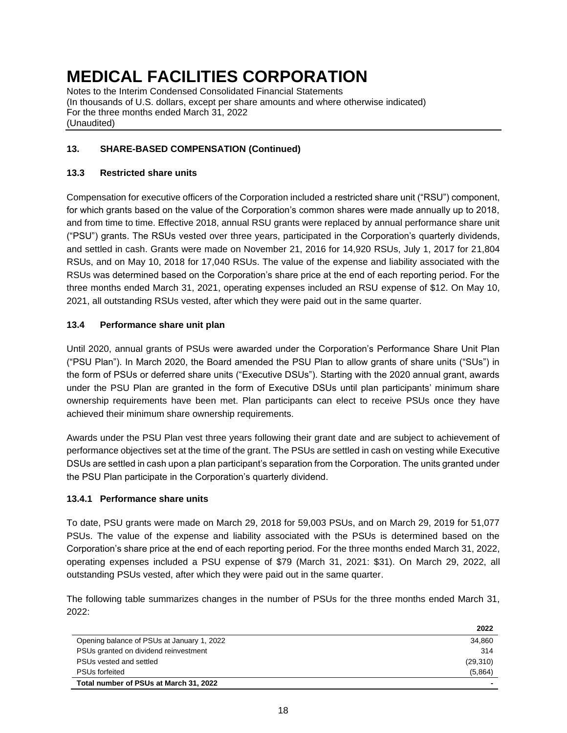Notes to the Interim Condensed Consolidated Financial Statements (In thousands of U.S. dollars, except per share amounts and where otherwise indicated) For the three months ended March 31, 2022 (Unaudited)

## **13. SHARE-BASED COMPENSATION (Continued)**

### **13.3 Restricted share units**

Compensation for executive officers of the Corporation included a restricted share unit ("RSU") component, for which grants based on the value of the Corporation's common shares were made annually up to 2018, and from time to time. Effective 2018, annual RSU grants were replaced by annual performance share unit ("PSU") grants. The RSUs vested over three years, participated in the Corporation's quarterly dividends, and settled in cash. Grants were made on November 21, 2016 for 14,920 RSUs, July 1, 2017 for 21,804 RSUs, and on May 10, 2018 for 17,040 RSUs. The value of the expense and liability associated with the RSUs was determined based on the Corporation's share price at the end of each reporting period. For the three months ended March 31, 2021, operating expenses included an RSU expense of \$12. On May 10, 2021, all outstanding RSUs vested, after which they were paid out in the same quarter.

### **13.4 Performance share unit plan**

Until 2020, annual grants of PSUs were awarded under the Corporation's Performance Share Unit Plan ("PSU Plan"). In March 2020, the Board amended the PSU Plan to allow grants of share units ("SUs") in the form of PSUs or deferred share units ("Executive DSUs"). Starting with the 2020 annual grant, awards under the PSU Plan are granted in the form of Executive DSUs until plan participants' minimum share ownership requirements have been met. Plan participants can elect to receive PSUs once they have achieved their minimum share ownership requirements.

Awards under the PSU Plan vest three years following their grant date and are subject to achievement of performance objectives set at the time of the grant. The PSUs are settled in cash on vesting while Executive DSUs are settled in cash upon a plan participant's separation from the Corporation. The units granted under the PSU Plan participate in the Corporation's quarterly dividend.

### **13.4.1 Performance share units**

To date, PSU grants were made on March 29, 2018 for 59,003 PSUs, and on March 29, 2019 for 51,077 PSUs. The value of the expense and liability associated with the PSUs is determined based on the Corporation's share price at the end of each reporting period. For the three months ended March 31, 2022, operating expenses included a PSU expense of \$79 (March 31, 2021: \$31). On March 29, 2022, all outstanding PSUs vested, after which they were paid out in the same quarter.

The following table summarizes changes in the number of PSUs for the three months ended March 31, 2022:

|                                            | 2022     |
|--------------------------------------------|----------|
| Opening balance of PSUs at January 1, 2022 | 34.860   |
| PSUs granted on dividend reinvestment      | 314      |
| PSUs vested and settled                    | (29,310) |
| <b>PSUs forfeited</b>                      | (5,864)  |
| Total number of PSUs at March 31, 2022     |          |